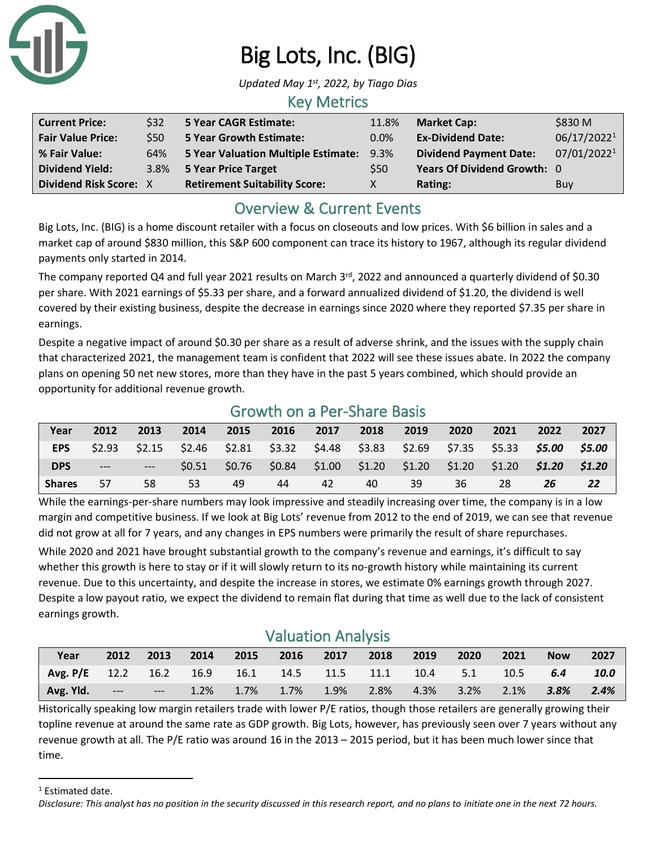

# Big Lots, Inc. (BIG)

*Updated May 1 st, 2022, by Tiago Dias*

#### Key Metrics

| <b>Current Price:</b>         | \$32 | 5 Year CAGR Estimate:                    | 11.8%   | <b>Market Cap:</b>            | \$830 M     |
|-------------------------------|------|------------------------------------------|---------|-------------------------------|-------------|
| <b>Fair Value Price:</b>      | \$50 | <b>5 Year Growth Estimate:</b>           | $0.0\%$ | <b>Ex-Dividend Date:</b>      | 06/17/20221 |
| % Fair Value:                 | 64%  | 5 Year Valuation Multiple Estimate: 9.3% |         | <b>Dividend Payment Date:</b> | 07/01/20221 |
| <b>Dividend Yield:</b>        | 3.8% | 5 Year Price Target                      | \$50    | Years Of Dividend Growth: 0   |             |
| <b>Dividend Risk Score: X</b> |      | <b>Retirement Suitability Score:</b>     |         | Rating:                       | Buy         |

# Overview & Current Events

Big Lots, Inc. (BIG) is a home discount retailer with a focus on closeouts and low prices. With \$6 billion in sales and a market cap of around \$830 million, this S&P 600 component can trace its history to 1967, although its regular dividend payments only started in 2014.

The company reported Q4 and full year 2021 results on March 3<sup>rd</sup>, 2022 and announced a quarterly dividend of \$0.30 per share. With 2021 earnings of \$5.33 per share, and a forward annualized dividend of \$1.20, the dividend is well covered by their existing business, despite the decrease in earnings since 2020 where they reported \$7.35 per share in earnings.

Despite a negative impact of around \$0.30 per share as a result of adverse shrink, and the issues with the supply chain that characterized 2021, the management team is confident that 2022 will see these issues abate. In 2022 the company plans on opening 50 net new stores, more than they have in the past 5 years combined, which should provide an opportunity for additional revenue growth.

| Growth on a Per-Share Basis |                                                                                      |    |       |    |    |                                 |                                                         |        |                             |                 |    |           |
|-----------------------------|--------------------------------------------------------------------------------------|----|-------|----|----|---------------------------------|---------------------------------------------------------|--------|-----------------------------|-----------------|----|-----------|
| Year                        | 2013<br>2014<br>2017<br>2018<br>2015<br>2016<br>2019<br>2022<br>2012<br>2021<br>2020 |    |       |    |    |                                 |                                                         |        |                             |                 |    | 2027      |
| <b>EPS</b>                  | \$2.93                                                                               |    |       |    |    |                                 | $$2.15$ $$2.46$ $$2.81$ $$3.32$ $$4.48$ $$3.83$ $$2.69$ |        | \$7.35 \$5.33 <b>\$5.00</b> |                 |    | \$5.00    |
| <b>DPS</b>                  | $---$                                                                                |    | SO.51 |    |    | $$0.76$ $$0.84$ $$1.00$ $$1.20$ |                                                         | \$1.20 | \$1.20                      | $$1.20$ $$1.20$ |    | \$1.20    |
| <b>Shares</b>               | 57                                                                                   | 58 | 53    | 49 | 44 | 42                              | 40                                                      | 39     | 36                          | 28              | 26 | <b>22</b> |

While the earnings-per-share numbers may look impressive and steadily increasing over time, the company is in a low margin and competitive business. If we look at Big Lots' revenue from 2012 to the end of 2019, we can see that revenue did not grow at all for 7 years, and any changes in EPS numbers were primarily the result of share repurchases.

While 2020 and 2021 have brought substantial growth to the company's revenue and earnings, it's difficult to say whether this growth is here to stay or if it will slowly return to its no-growth history while maintaining its current revenue. Due to this uncertainty, and despite the increase in stores, we estimate 0% earnings growth through 2027. Despite a low payout ratio, we expect the dividend to remain flat during that time as well due to the lack of consistent earnings growth.

### Valuation Analysis

| Year                                                 | 2012  | 2013                            | $\sqrt{2014}$           | $\sim$ 2015 | 2016 | 2017 2018      | 2019 | 2020         | 2021        | <b>Now</b> | 2027 |
|------------------------------------------------------|-------|---------------------------------|-------------------------|-------------|------|----------------|------|--------------|-------------|------------|------|
| Avg. P/E 12.2 16.2 16.9 16.1 14.5 11.5 11.1 10.4 5.1 |       |                                 |                         |             |      |                |      |              | $\sim$ 10.5 | 6.4        | 10.0 |
| Avg. Yld.                                            | $---$ | <b>Contract Contract Street</b> | $1.2\%$ $1.7\%$ $1.7\%$ |             |      | 1.9% 2.8% 4.3% |      | $3.2\%$ 2.1% |             | $3.8\%$    | 2.4% |

Historically speaking low margin retailers trade with lower P/E ratios, though those retailers are generally growing their topline revenue at around the same rate as GDP growth. Big Lots, however, has previously seen over 7 years without any revenue growth at all. The P/E ratio was around 16 in the 2013 – 2015 period, but it has been much lower since that time.

<sup>1</sup> Estimated date.

*Disclosure: This analyst has no position in the security discussed in this research report, and no plans to initiate one in the next 72 hours.*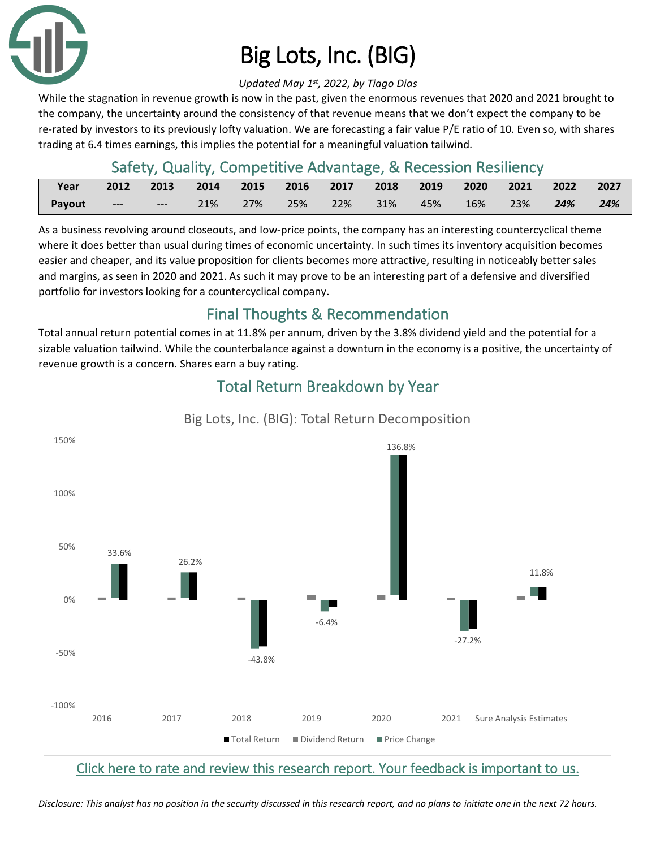

# Big Lots, Inc. (BIG)

#### *Updated May 1 st, 2022, by Tiago Dias*

While the stagnation in revenue growth is now in the past, given the enormous revenues that 2020 and 2021 brought to the company, the uncertainty around the consistency of that revenue means that we don't expect the company to be re-rated by investors to its previously lofty valuation. We are forecasting a fair value P/E ratio of 10. Even so, with shares trading at 6.4 times earnings, this implies the potential for a meaningful valuation tailwind.

## Safety, Quality, Competitive Advantage, & Recession Resiliency

| <b>Print</b> Year | 2012 2013 2014 2015 2016 2017 2018 2019 2020 2021 2022 2027 |  |  |                                            |  |  |     |
|-------------------|-------------------------------------------------------------|--|--|--------------------------------------------|--|--|-----|
| Payout            |                                                             |  |  | 21% 27% 25% 22% 31% 45% 16% 23% <b>24%</b> |  |  | 24% |

As a business revolving around closeouts, and low-price points, the company has an interesting countercyclical theme where it does better than usual during times of economic uncertainty. In such times its inventory acquisition becomes easier and cheaper, and its value proposition for clients becomes more attractive, resulting in noticeably better sales and margins, as seen in 2020 and 2021. As such it may prove to be an interesting part of a defensive and diversified portfolio for investors looking for a countercyclical company.

# Final Thoughts & Recommendation

Total annual return potential comes in at 11.8% per annum, driven by the 3.8% dividend yield and the potential for a sizable valuation tailwind. While the counterbalance against a downturn in the economy is a positive, the uncertainty of revenue growth is a concern. Shares earn a buy rating.



# Total Return Breakdown by Year

### [Click here to rate and review this research report. Your feedback is important to us.](https://suredividend.typeform.com/to/S0SIkB)

*Disclosure: This analyst has no position in the security discussed in this research report, and no plans to initiate one in the next 72 hours.*